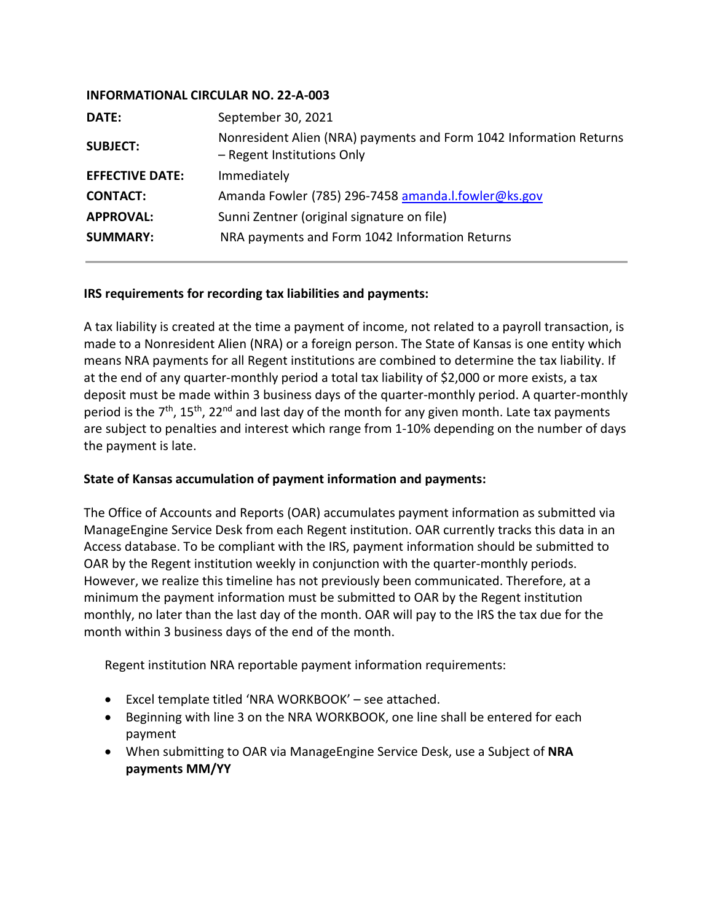## **INFORMATIONAL CIRCULAR NO. 22-A-003**

| DATE:                  | September 30, 2021                                                                               |
|------------------------|--------------------------------------------------------------------------------------------------|
| <b>SUBJECT:</b>        | Nonresident Alien (NRA) payments and Form 1042 Information Returns<br>- Regent Institutions Only |
| <b>EFFECTIVE DATE:</b> | Immediately                                                                                      |
| <b>CONTACT:</b>        | Amanda Fowler (785) 296-7458 amanda.l.fowler@ks.gov                                              |
| <b>APPROVAL:</b>       | Sunni Zentner (original signature on file)                                                       |
| <b>SUMMARY:</b>        | NRA payments and Form 1042 Information Returns                                                   |
|                        |                                                                                                  |

## **IRS requirements for recording tax liabilities and payments:**

A tax liability is created at the time a payment of income, not related to a payroll transaction, is made to a Nonresident Alien (NRA) or a foreign person. The State of Kansas is one entity which means NRA payments for all Regent institutions are combined to determine the tax liability. If at the end of any quarter-monthly period a total tax liability of \$2,000 or more exists, a tax deposit must be made within 3 business days of the quarter-monthly period. A quarter-monthly period is the  $7<sup>th</sup>$ , 15<sup>th</sup>, 22<sup>nd</sup> and last day of the month for any given month. Late tax payments are subject to penalties and interest which range from 1-10% depending on the number of days the payment is late.

## **State of Kansas accumulation of payment information and payments:**

The Office of Accounts and Reports (OAR) accumulates payment information as submitted via ManageEngine Service Desk from each Regent institution. OAR currently tracks this data in an Access database. To be compliant with the IRS, payment information should be submitted to OAR by the Regent institution weekly in conjunction with the quarter-monthly periods. However, we realize this timeline has not previously been communicated. Therefore, at a minimum the payment information must be submitted to OAR by the Regent institution monthly, no later than the last day of the month. OAR will pay to the IRS the tax due for the month within 3 business days of the end of the month.

Regent institution NRA reportable payment information requirements:

- Excel template titled 'NRA WORKBOOK' see attached.
- Beginning with line 3 on the NRA WORKBOOK, one line shall be entered for each payment
- When submitting to OAR via ManageEngine Service Desk, use a Subject of **NRA payments MM/YY**